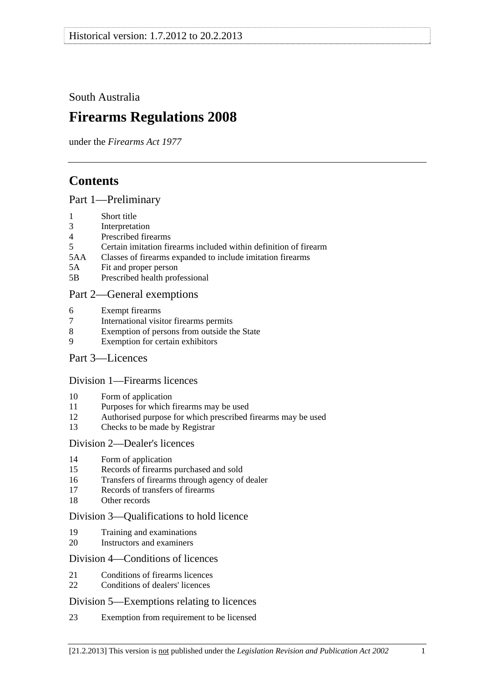<span id="page-0-0"></span>South Australia

# **Firearms Regulations 2008**

under the *Firearms Act 1977*

# **Contents**

[Part 1—Preliminary](#page-2-0)

- [1 Short title](#page-2-0)
- [3 Interpretation](#page-2-0)
- [4 Prescribed firearms](#page-3-0)
- [5 Certain imitation firearms included within definition of firearm](#page-3-0)
- [5AA Classes of firearms expanded to include imitation firearms](#page-4-0)
- [5A Fit and proper person](#page-4-0)
- [5B Prescribed health professional](#page-5-0)

# [Part 2—General exemptions](#page-5-0)

- [6 Exempt firearms](#page-5-0)
- [7 International visitor firearms permits](#page-6-0)
- [8 Exemption of persons from outside the State](#page-7-0)
- [9 Exemption for certain exhibitors](#page-7-0)
- [Part 3—Licences](#page-8-0)

## [Division 1—Firearms licences](#page-8-0)

- [10 Form of application](#page-8-0)
- [11 Purposes for which firearms may be used](#page-8-0)
- [12 Authorised purpose for which prescribed firearms may be used](#page-9-0)
- [13 Checks to be made by Registrar](#page-9-0)

## [Division 2—Dealer's licences](#page-9-0)

- [14 Form of application](#page-9-0)
- [15 Records of firearms purchased and sold](#page-9-0)
- [16 Transfers of firearms through agency of dealer](#page-9-0)
- [17 Records of transfers of firearms](#page-10-0)
- [18 Other records](#page-10-0)

## [Division 3—Qualifications to hold licence](#page-10-0)

- [19 Training and examinations](#page-10-0)
- [20 Instructors and examiners](#page-11-0)

## [Division 4—Conditions of licences](#page-11-0)

- [21 Conditions of firearms licences](#page-11-0)
- [22 Conditions of dealers' licences](#page-14-0)

## [Division 5—Exemptions relating to licences](#page-16-0)

[23 Exemption from requirement to be licensed](#page-16-0)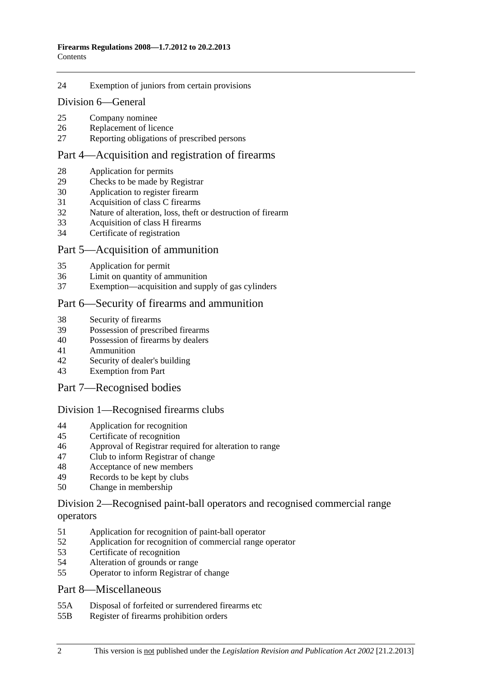#### [24 Exemption of juniors from certain provisions](#page-17-0)

#### [Division 6—General](#page-18-0)

- [25 Company nominee](#page-18-0)
- [26 Replacement of licence](#page-18-0)
- [27 Reporting obligations of prescribed persons](#page-18-0)

## [Part 4—Acquisition and registration of firearms](#page-18-0)

- [28 Application for permits](#page-18-0)
- [29 Checks to be made by Registrar](#page-19-0)
- [30 Application to register firearm](#page-19-0)
- [31 Acquisition of class C firearms](#page-19-0)
- [32 Nature of alteration, loss, theft or destruction of firearm](#page-19-0)
- [33 Acquisition of class H firearms](#page-19-0)
- [34 Certificate of registration](#page-20-0)

#### [Part 5—Acquisition of ammunition](#page-20-0)

- [35 Application for permit](#page-20-0)
- [36 Limit on quantity of ammunition](#page-20-0)
- [37 Exemption—acquisition and supply of gas cylinders](#page-21-0)

#### [Part 6—Security of firearms and ammunition](#page-21-0)

- [38 Security of firearms](#page-21-0)
- [39 Possession of prescribed firearms](#page-21-0)
- [40 Possession of firearms by dealers](#page-21-0)
- [41 Ammunition](#page-22-0)
- [42 Security of dealer's building](#page-22-0)
- [43 Exemption from Part](#page-22-0)

#### [Part 7—Recognised bodies](#page-22-0)

#### [Division 1—Recognised firearms clubs](#page-22-0)

- [44 Application for recognition](#page-22-0)
- [45 Certificate of recognition](#page-23-0)
- [46 Approval of Registrar required for alteration to range](#page-23-0)
- [47 Club to inform Registrar of change](#page-23-0)
- [48 Acceptance of new members](#page-24-0)
- [49 Records to be kept by clubs](#page-24-0)
- [50 Change in membership](#page-24-0)

#### [Division 2—Recognised paint-ball operators and recognised commercial range](#page-25-0)  [operators](#page-25-0)

- [51 Application for recognition of paint-ball operator](#page-25-0)
- [52 Application for recognition of commercial range operator](#page-25-0)
- [53 Certificate of recognition](#page-26-0)
- [54 Alteration of grounds or range](#page-26-0)
- [55 Operator to inform Registrar of change](#page-26-0)

#### [Part 8—Miscellaneous](#page-27-0)

- [55A Disposal of forfeited or surrendered firearms etc](#page-27-0)
- [55B Register of firearms prohibition orders](#page-27-0)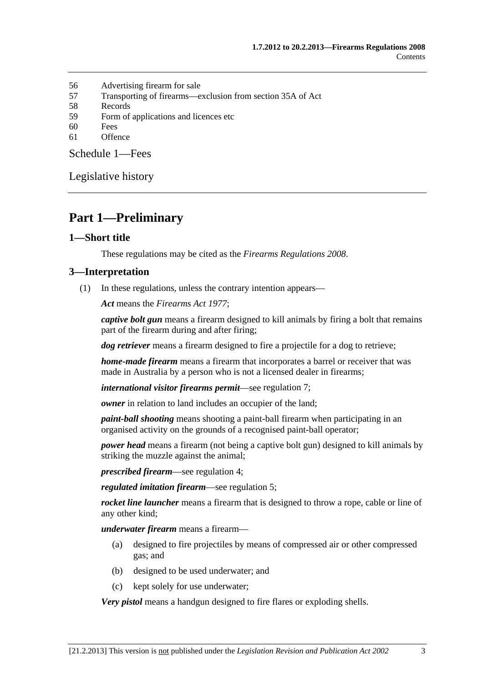- <span id="page-2-0"></span>[56 Advertising firearm for sale](#page-27-0)
- [57 Transporting of firearms—exclusion from section 35A of Act](#page-27-0)
- [58 Records](#page-28-0)
- [59 Form of applications and licences etc](#page-28-0)
- [60 Fees](#page-28-0)
- [61 Offence](#page-28-0)

[Schedule 1—Fees](#page-28-0) 

[Legislative history](#page-30-0) 

# **Part 1—Preliminary**

#### **1—Short title**

These regulations may be cited as the *Firearms Regulations 2008*.

#### **3—Interpretation**

(1) In these regulations, unless the contrary intention appears—

*Act* means the *[Firearms Act 1977](http://www.legislation.sa.gov.au/index.aspx?action=legref&type=act&legtitle=Firearms%20Act%201977)*;

*captive bolt gun* means a firearm designed to kill animals by firing a bolt that remains part of the firearm during and after firing;

*dog retriever* means a firearm designed to fire a projectile for a dog to retrieve;

*home-made firearm* means a firearm that incorporates a barrel or receiver that was made in Australia by a person who is not a licensed dealer in firearms;

*international visitor firearms permit*—see [regulation 7;](#page-6-0)

*owner* in relation to land includes an occupier of the land;

*paint-ball shooting* means shooting a paint-ball firearm when participating in an organised activity on the grounds of a recognised paint-ball operator;

*power head* means a firearm (not being a captive bolt gun) designed to kill animals by striking the muzzle against the animal;

*prescribed firearm*—see [regulation 4;](#page-3-0)

*regulated imitation firearm*—see [regulation 5](#page-0-0);

*rocket line launcher* means a firearm that is designed to throw a rope, cable or line of any other kind;

*underwater firearm* means a firearm—

- (a) designed to fire projectiles by means of compressed air or other compressed gas; and
- (b) designed to be used underwater; and
- (c) kept solely for use underwater;

*Very pistol* means a handgun designed to fire flares or exploding shells.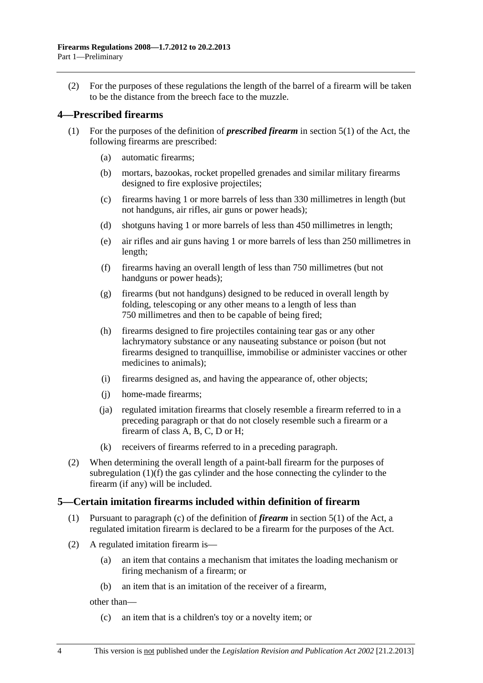<span id="page-3-0"></span> (2) For the purposes of these regulations the length of the barrel of a firearm will be taken to be the distance from the breech face to the muzzle.

## **4—Prescribed firearms**

- (1) For the purposes of the definition of *prescribed firearm* in section 5(1) of the Act, the following firearms are prescribed:
	- (a) automatic firearms;
	- (b) mortars, bazookas, rocket propelled grenades and similar military firearms designed to fire explosive projectiles;
	- (c) firearms having 1 or more barrels of less than 330 millimetres in length (but not handguns, air rifles, air guns or power heads);
	- (d) shotguns having 1 or more barrels of less than 450 millimetres in length;
	- (e) air rifles and air guns having 1 or more barrels of less than 250 millimetres in length;
	- (f) firearms having an overall length of less than 750 millimetres (but not handguns or power heads);
	- (g) firearms (but not handguns) designed to be reduced in overall length by folding, telescoping or any other means to a length of less than 750 millimetres and then to be capable of being fired;
	- (h) firearms designed to fire projectiles containing tear gas or any other lachrymatory substance or any nauseating substance or poison (but not firearms designed to tranquillise, immobilise or administer vaccines or other medicines to animals);
	- (i) firearms designed as, and having the appearance of, other objects;
	- (j) home-made firearms;
	- (ja) regulated imitation firearms that closely resemble a firearm referred to in a preceding paragraph or that do not closely resemble such a firearm or a firearm of class A, B, C, D or H;
	- (k) receivers of firearms referred to in a preceding paragraph.
- (2) When determining the overall length of a paint-ball firearm for the purposes of [subregulation \(1\)\(f\)](#page-3-0) the gas cylinder and the hose connecting the cylinder to the firearm (if any) will be included.

#### **5—Certain imitation firearms included within definition of firearm**

- (1) Pursuant to paragraph (c) of the definition of *firearm* in section 5(1) of the Act, a regulated imitation firearm is declared to be a firearm for the purposes of the Act.
- (2) A regulated imitation firearm is—
	- (a) an item that contains a mechanism that imitates the loading mechanism or firing mechanism of a firearm; or
	- (b) an item that is an imitation of the receiver of a firearm,

other than—

(c) an item that is a children's toy or a novelty item; or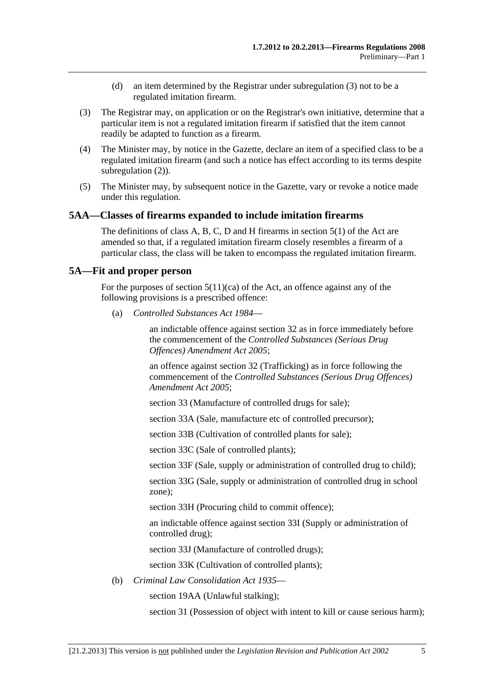- (d) an item determined by the Registrar under [subregulation \(3\)](#page-4-0) not to be a regulated imitation firearm.
- <span id="page-4-0"></span> (3) The Registrar may, on application or on the Registrar's own initiative, determine that a particular item is not a regulated imitation firearm if satisfied that the item cannot readily be adapted to function as a firearm.
- (4) The Minister may, by notice in the Gazette, declare an item of a specified class to be a regulated imitation firearm (and such a notice has effect according to its terms despite [subregulation \(2\)\)](#page-3-0).
- (5) The Minister may, by subsequent notice in the Gazette, vary or revoke a notice made under this regulation.

#### **5AA—Classes of firearms expanded to include imitation firearms**

The definitions of class A, B, C, D and H firearms in section 5(1) of the Act are amended so that, if a regulated imitation firearm closely resembles a firearm of a particular class, the class will be taken to encompass the regulated imitation firearm.

#### **5A—Fit and proper person**

For the purposes of section  $5(11)(ca)$  of the Act, an offence against any of the following provisions is a prescribed offence:

(a) *[Controlled Substances Act 1984](http://www.legislation.sa.gov.au/index.aspx?action=legref&type=act&legtitle=Controlled%20Substances%20Act%201984)*—

an indictable offence against section 32 as in force immediately before the commencement of the *[Controlled Substances \(Serious Drug](http://www.legislation.sa.gov.au/index.aspx?action=legref&type=act&legtitle=Controlled%20Substances%20(Serious%20Drug%20Offences)%20Amendment%20Act%202005)  [Offences\) Amendment Act 2005](http://www.legislation.sa.gov.au/index.aspx?action=legref&type=act&legtitle=Controlled%20Substances%20(Serious%20Drug%20Offences)%20Amendment%20Act%202005)*;

an offence against section 32 (Trafficking) as in force following the commencement of the *[Controlled Substances \(Serious Drug Offences\)](http://www.legislation.sa.gov.au/index.aspx?action=legref&type=act&legtitle=Controlled%20Substances%20(Serious%20Drug%20Offences)%20Amendment%20Act%202005)  [Amendment Act 2005](http://www.legislation.sa.gov.au/index.aspx?action=legref&type=act&legtitle=Controlled%20Substances%20(Serious%20Drug%20Offences)%20Amendment%20Act%202005)*;

section 33 (Manufacture of controlled drugs for sale);

section 33A (Sale, manufacture etc of controlled precursor);

section 33B (Cultivation of controlled plants for sale);

section 33C (Sale of controlled plants);

section 33F (Sale, supply or administration of controlled drug to child);

section 33G (Sale, supply or administration of controlled drug in school zone);

section 33H (Procuring child to commit offence);

an indictable offence against section 33I (Supply or administration of controlled drug);

section 33J (Manufacture of controlled drugs);

section 33K (Cultivation of controlled plants);

(b) *[Criminal Law Consolidation Act 1935](http://www.legislation.sa.gov.au/index.aspx?action=legref&type=act&legtitle=Criminal%20Law%20Consolidation%20Act%201935)*—

section 19AA (Unlawful stalking);

section 31 (Possession of object with intent to kill or cause serious harm);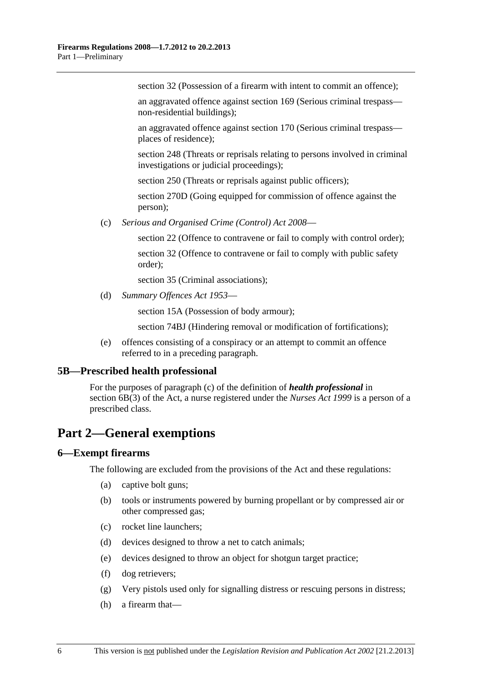<span id="page-5-0"></span>section 32 (Possession of a firearm with intent to commit an offence):

an aggravated offence against section 169 (Serious criminal trespass non-residential buildings);

an aggravated offence against section 170 (Serious criminal trespass places of residence);

section 248 (Threats or reprisals relating to persons involved in criminal investigations or judicial proceedings);

section 250 (Threats or reprisals against public officers);

section 270D (Going equipped for commission of offence against the person);

(c) *[Serious and Organised Crime \(Control\) Act 2008](http://www.legislation.sa.gov.au/index.aspx?action=legref&type=act&legtitle=Serious%20and%20Organised%20Crime%20(Control)%20Act%202008)*—

section 22 (Offence to contravene or fail to comply with control order);

section 32 (Offence to contravene or fail to comply with public safety order);

section 35 (Criminal associations):

(d) *[Summary Offences Act 1953](http://www.legislation.sa.gov.au/index.aspx?action=legref&type=act&legtitle=Summary%20Offences%20Act%201953)*—

section 15A (Possession of body armour);

section 74BJ (Hindering removal or modification of fortifications);

 (e) offences consisting of a conspiracy or an attempt to commit an offence referred to in a preceding paragraph.

#### **5B—Prescribed health professional**

For the purposes of paragraph (c) of the definition of *health professional* in section 6B(3) of the Act, a nurse registered under the *[Nurses Act 1999](http://www.legislation.sa.gov.au/index.aspx?action=legref&type=act&legtitle=Nurses%20Act%201999)* is a person of a prescribed class.

# **Part 2—General exemptions**

#### **6—Exempt firearms**

The following are excluded from the provisions of the Act and these regulations:

- (a) captive bolt guns;
- (b) tools or instruments powered by burning propellant or by compressed air or other compressed gas;
- (c) rocket line launchers;
- (d) devices designed to throw a net to catch animals;
- (e) devices designed to throw an object for shotgun target practice;
- (f) dog retrievers;
- (g) Very pistols used only for signalling distress or rescuing persons in distress;
- (h) a firearm that—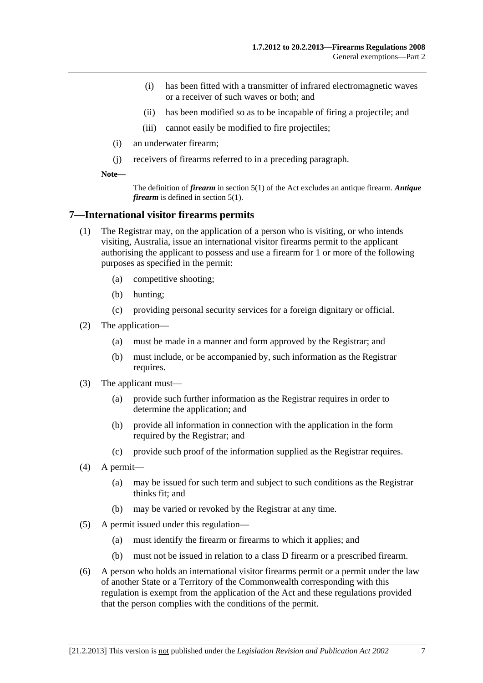- <span id="page-6-0"></span> (i) has been fitted with a transmitter of infrared electromagnetic waves or a receiver of such waves or both; and
- (ii) has been modified so as to be incapable of firing a projectile; and
- (iii) cannot easily be modified to fire projectiles;
- (i) an underwater firearm;
- (j) receivers of firearms referred to in a preceding paragraph.

**Note—** 

The definition of *firearm* in section 5(1) of the Act excludes an antique firearm. *Antique firearm* is defined in section 5(1).

#### **7—International visitor firearms permits**

- (1) The Registrar may, on the application of a person who is visiting, or who intends visiting, Australia, issue an international visitor firearms permit to the applicant authorising the applicant to possess and use a firearm for 1 or more of the following purposes as specified in the permit:
	- (a) competitive shooting;
	- (b) hunting;
	- (c) providing personal security services for a foreign dignitary or official.
- (2) The application—
	- (a) must be made in a manner and form approved by the Registrar; and
	- (b) must include, or be accompanied by, such information as the Registrar requires.
- (3) The applicant must—
	- (a) provide such further information as the Registrar requires in order to determine the application; and
	- (b) provide all information in connection with the application in the form required by the Registrar; and
	- (c) provide such proof of the information supplied as the Registrar requires.
- (4) A permit—
	- (a) may be issued for such term and subject to such conditions as the Registrar thinks fit; and
	- (b) may be varied or revoked by the Registrar at any time.
- (5) A permit issued under this regulation—
	- (a) must identify the firearm or firearms to which it applies; and
	- (b) must not be issued in relation to a class D firearm or a prescribed firearm.
- (6) A person who holds an international visitor firearms permit or a permit under the law of another State or a Territory of the Commonwealth corresponding with this regulation is exempt from the application of the Act and these regulations provided that the person complies with the conditions of the permit.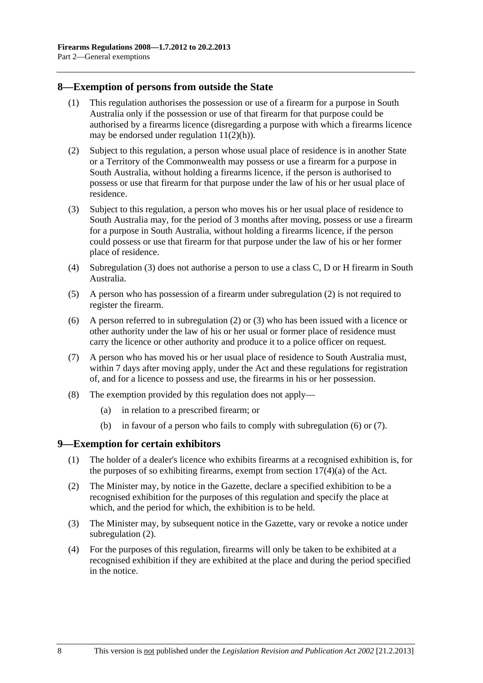#### <span id="page-7-0"></span>**8—Exemption of persons from outside the State**

- (1) This regulation authorises the possession or use of a firearm for a purpose in South Australia only if the possession or use of that firearm for that purpose could be authorised by a firearms licence (disregarding a purpose with which a firearms licence may be endorsed under regulation  $11(2)(h)$ ).
- (2) Subject to this regulation, a person whose usual place of residence is in another State or a Territory of the Commonwealth may possess or use a firearm for a purpose in South Australia, without holding a firearms licence, if the person is authorised to possess or use that firearm for that purpose under the law of his or her usual place of residence.
- (3) Subject to this regulation, a person who moves his or her usual place of residence to South Australia may, for the period of 3 months after moving, possess or use a firearm for a purpose in South Australia, without holding a firearms licence, if the person could possess or use that firearm for that purpose under the law of his or her former place of residence.
- (4) [Subregulation \(3\)](#page-7-0) does not authorise a person to use a class C, D or H firearm in South Australia.
- (5) A person who has possession of a firearm under [subregulation \(2\)](#page-7-0) is not required to register the firearm.
- (6) A person referred to in [subregulation \(2\)](#page-7-0) or [\(3\)](#page-7-0) who has been issued with a licence or other authority under the law of his or her usual or former place of residence must carry the licence or other authority and produce it to a police officer on request.
- (7) A person who has moved his or her usual place of residence to South Australia must, within 7 days after moving apply, under the Act and these regulations for registration of, and for a licence to possess and use, the firearms in his or her possession.
- (8) The exemption provided by this regulation does not apply—
	- (a) in relation to a prescribed firearm; or
	- (b) in favour of a person who fails to comply with [subregulation \(6\)](#page-7-0) or [\(7\).](#page-7-0)

#### **9—Exemption for certain exhibitors**

- (1) The holder of a dealer's licence who exhibits firearms at a recognised exhibition is, for the purposes of so exhibiting firearms, exempt from section  $17(4)(a)$  of the Act.
- (2) The Minister may, by notice in the Gazette, declare a specified exhibition to be a recognised exhibition for the purposes of this regulation and specify the place at which, and the period for which, the exhibition is to be held.
- (3) The Minister may, by subsequent notice in the Gazette, vary or revoke a notice under [subregulation \(2\).](#page-7-0)
- (4) For the purposes of this regulation, firearms will only be taken to be exhibited at a recognised exhibition if they are exhibited at the place and during the period specified in the notice.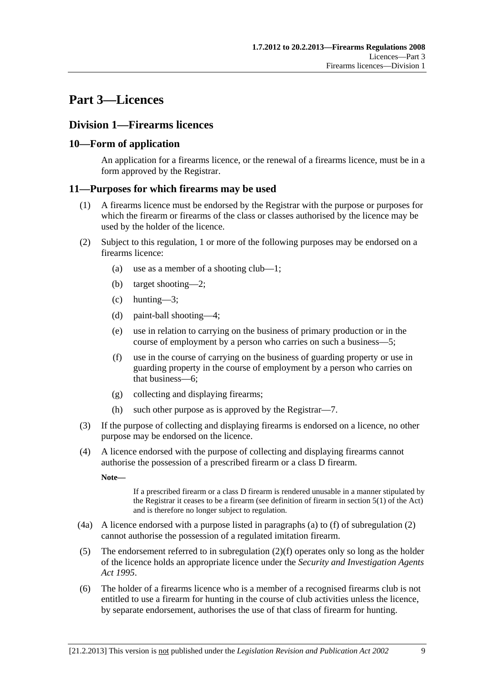# <span id="page-8-0"></span>**Part 3—Licences**

# **Division 1—Firearms licences**

# **10—Form of application**

An application for a firearms licence, or the renewal of a firearms licence, must be in a form approved by the Registrar.

## **11—Purposes for which firearms may be used**

- (1) A firearms licence must be endorsed by the Registrar with the purpose or purposes for which the firearm or firearms of the class or classes authorised by the licence may be used by the holder of the licence.
- (2) Subject to this regulation, 1 or more of the following purposes may be endorsed on a firearms licence:
	- (a) use as a member of a shooting club—1;
	- (b) target shooting—2;
	- (c) hunting—3;
	- (d) paint-ball shooting—4;
	- (e) use in relation to carrying on the business of primary production or in the course of employment by a person who carries on such a business—5;
	- (f) use in the course of carrying on the business of guarding property or use in guarding property in the course of employment by a person who carries on that business—6;
	- (g) collecting and displaying firearms;
	- (h) such other purpose as is approved by the Registrar—7.
- (3) If the purpose of collecting and displaying firearms is endorsed on a licence, no other purpose may be endorsed on the licence.
- (4) A licence endorsed with the purpose of collecting and displaying firearms cannot authorise the possession of a prescribed firearm or a class D firearm.

**Note—** 

If a prescribed firearm or a class D firearm is rendered unusable in a manner stipulated by the Registrar it ceases to be a firearm (see definition of firearm in section 5(1) of the Act) and is therefore no longer subject to regulation.

- (4a) A licence endorsed with a purpose listed in paragraphs [\(a\)](#page-8-0) to [\(f\)](#page-8-0) of [subregulation \(2\)](#page-8-0)  cannot authorise the possession of a regulated imitation firearm.
- (5) The endorsement referred to in subregulation  $(2)(f)$  operates only so long as the holder of the licence holds an appropriate licence under the *[Security and Investigation Agents](http://www.legislation.sa.gov.au/index.aspx?action=legref&type=act&legtitle=Security%20and%20Investigation%20Agents%20Act%201995)  [Act 1995](http://www.legislation.sa.gov.au/index.aspx?action=legref&type=act&legtitle=Security%20and%20Investigation%20Agents%20Act%201995)*.
- (6) The holder of a firearms licence who is a member of a recognised firearms club is not entitled to use a firearm for hunting in the course of club activities unless the licence, by separate endorsement, authorises the use of that class of firearm for hunting.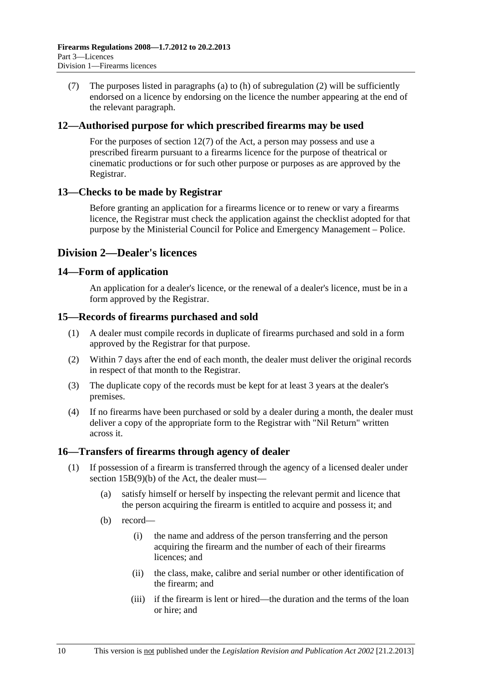<span id="page-9-0"></span> (7) The purposes listed in [paragraphs \(a\)](#page-8-0) to [\(h\)](#page-8-0) of [subregulation \(2\)](#page-8-0) will be sufficiently endorsed on a licence by endorsing on the licence the number appearing at the end of the relevant paragraph.

## **12—Authorised purpose for which prescribed firearms may be used**

For the purposes of section 12(7) of the Act, a person may possess and use a prescribed firearm pursuant to a firearms licence for the purpose of theatrical or cinematic productions or for such other purpose or purposes as are approved by the Registrar.

## **13—Checks to be made by Registrar**

Before granting an application for a firearms licence or to renew or vary a firearms licence, the Registrar must check the application against the checklist adopted for that purpose by the Ministerial Council for Police and Emergency Management – Police.

# **Division 2—Dealer's licences**

#### **14—Form of application**

An application for a dealer's licence, or the renewal of a dealer's licence, must be in a form approved by the Registrar.

#### **15—Records of firearms purchased and sold**

- (1) A dealer must compile records in duplicate of firearms purchased and sold in a form approved by the Registrar for that purpose.
- (2) Within 7 days after the end of each month, the dealer must deliver the original records in respect of that month to the Registrar.
- (3) The duplicate copy of the records must be kept for at least 3 years at the dealer's premises.
- (4) If no firearms have been purchased or sold by a dealer during a month, the dealer must deliver a copy of the appropriate form to the Registrar with "Nil Return" written across it.

## **16—Transfers of firearms through agency of dealer**

- (1) If possession of a firearm is transferred through the agency of a licensed dealer under section 15B(9)(b) of the Act, the dealer must—
	- (a) satisfy himself or herself by inspecting the relevant permit and licence that the person acquiring the firearm is entitled to acquire and possess it; and
	- (b) record—
		- (i) the name and address of the person transferring and the person acquiring the firearm and the number of each of their firearms licences; and
		- (ii) the class, make, calibre and serial number or other identification of the firearm; and
		- (iii) if the firearm is lent or hired—the duration and the terms of the loan or hire; and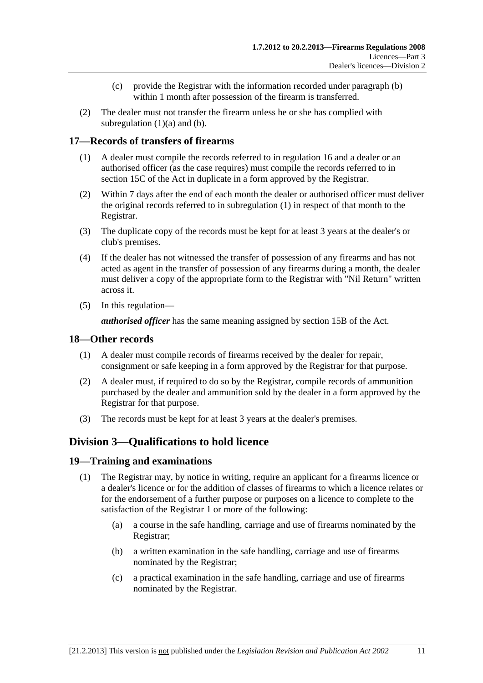- (c) provide the Registrar with the information recorded under [paragraph \(b\)](#page-9-0) within 1 month after possession of the firearm is transferred.
- <span id="page-10-0"></span> (2) The dealer must not transfer the firearm unless he or she has complied with subregulation  $(1)(a)$  and  $(b)$ .

# **17—Records of transfers of firearms**

- (1) A dealer must compile the records referred to in [regulation 16](#page-9-0) and a dealer or an authorised officer (as the case requires) must compile the records referred to in section 15C of the Act in duplicate in a form approved by the Registrar.
- (2) Within 7 days after the end of each month the dealer or authorised officer must deliver the original records referred to in [subregulation \(1\)](#page-10-0) in respect of that month to the Registrar.
- (3) The duplicate copy of the records must be kept for at least 3 years at the dealer's or club's premises.
- (4) If the dealer has not witnessed the transfer of possession of any firearms and has not acted as agent in the transfer of possession of any firearms during a month, the dealer must deliver a copy of the appropriate form to the Registrar with "Nil Return" written across it.
- (5) In this regulation—

*authorised officer* has the same meaning assigned by section 15B of the Act.

#### **18—Other records**

- (1) A dealer must compile records of firearms received by the dealer for repair, consignment or safe keeping in a form approved by the Registrar for that purpose.
- (2) A dealer must, if required to do so by the Registrar, compile records of ammunition purchased by the dealer and ammunition sold by the dealer in a form approved by the Registrar for that purpose.
- (3) The records must be kept for at least 3 years at the dealer's premises.

# **Division 3—Qualifications to hold licence**

## **19—Training and examinations**

- (1) The Registrar may, by notice in writing, require an applicant for a firearms licence or a dealer's licence or for the addition of classes of firearms to which a licence relates or for the endorsement of a further purpose or purposes on a licence to complete to the satisfaction of the Registrar 1 or more of the following:
	- (a) a course in the safe handling, carriage and use of firearms nominated by the Registrar;
	- (b) a written examination in the safe handling, carriage and use of firearms nominated by the Registrar;
	- (c) a practical examination in the safe handling, carriage and use of firearms nominated by the Registrar.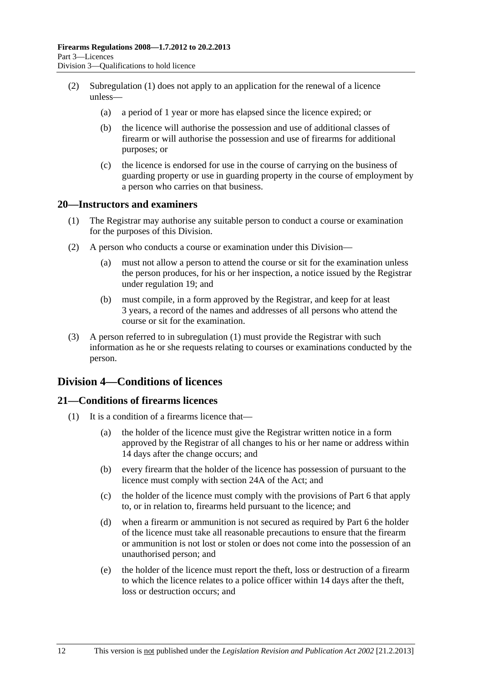- <span id="page-11-0"></span> (2) [Subregulation \(1\)](#page-10-0) does not apply to an application for the renewal of a licence unless—
	- (a) a period of 1 year or more has elapsed since the licence expired; or
	- (b) the licence will authorise the possession and use of additional classes of firearm or will authorise the possession and use of firearms for additional purposes; or
	- (c) the licence is endorsed for use in the course of carrying on the business of guarding property or use in guarding property in the course of employment by a person who carries on that business.

#### **20—Instructors and examiners**

- (1) The Registrar may authorise any suitable person to conduct a course or examination for the purposes of this Division.
- (2) A person who conducts a course or examination under this Division—
	- (a) must not allow a person to attend the course or sit for the examination unless the person produces, for his or her inspection, a notice issued by the Registrar under [regulation 19](#page-10-0); and
	- (b) must compile, in a form approved by the Registrar, and keep for at least 3 years, a record of the names and addresses of all persons who attend the course or sit for the examination.
- (3) A person referred to in [subregulation \(1\)](#page-11-0) must provide the Registrar with such information as he or she requests relating to courses or examinations conducted by the person.

# **Division 4—Conditions of licences**

# **21—Conditions of firearms licences**

- (1) It is a condition of a firearms licence that—
	- (a) the holder of the licence must give the Registrar written notice in a form approved by the Registrar of all changes to his or her name or address within 14 days after the change occurs; and
	- (b) every firearm that the holder of the licence has possession of pursuant to the licence must comply with section 24A of the Act; and
	- (c) the holder of the licence must comply with the provisions of [Part 6](#page-21-0) that apply to, or in relation to, firearms held pursuant to the licence; and
	- (d) when a firearm or ammunition is not secured as required by [Part 6](#page-21-0) the holder of the licence must take all reasonable precautions to ensure that the firearm or ammunition is not lost or stolen or does not come into the possession of an unauthorised person; and
	- (e) the holder of the licence must report the theft, loss or destruction of a firearm to which the licence relates to a police officer within 14 days after the theft, loss or destruction occurs; and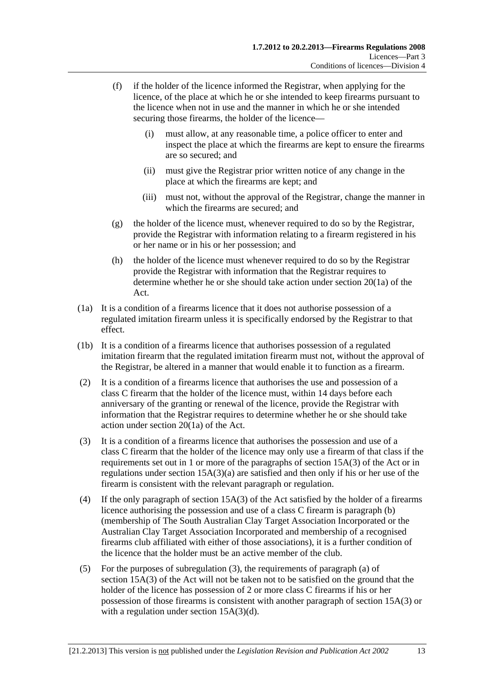- <span id="page-12-0"></span> (f) if the holder of the licence informed the Registrar, when applying for the licence, of the place at which he or she intended to keep firearms pursuant to the licence when not in use and the manner in which he or she intended securing those firearms, the holder of the licence—
	- (i) must allow, at any reasonable time, a police officer to enter and inspect the place at which the firearms are kept to ensure the firearms are so secured; and
	- (ii) must give the Registrar prior written notice of any change in the place at which the firearms are kept; and
	- (iii) must not, without the approval of the Registrar, change the manner in which the firearms are secured; and
- (g) the holder of the licence must, whenever required to do so by the Registrar, provide the Registrar with information relating to a firearm registered in his or her name or in his or her possession; and
- (h) the holder of the licence must whenever required to do so by the Registrar provide the Registrar with information that the Registrar requires to determine whether he or she should take action under section 20(1a) of the Act.
- (1a) It is a condition of a firearms licence that it does not authorise possession of a regulated imitation firearm unless it is specifically endorsed by the Registrar to that effect.
- (1b) It is a condition of a firearms licence that authorises possession of a regulated imitation firearm that the regulated imitation firearm must not, without the approval of the Registrar, be altered in a manner that would enable it to function as a firearm.
- (2) It is a condition of a firearms licence that authorises the use and possession of a class C firearm that the holder of the licence must, within 14 days before each anniversary of the granting or renewal of the licence, provide the Registrar with information that the Registrar requires to determine whether he or she should take action under section 20(1a) of the Act.
- (3) It is a condition of a firearms licence that authorises the possession and use of a class C firearm that the holder of the licence may only use a firearm of that class if the requirements set out in 1 or more of the paragraphs of section 15A(3) of the Act or in regulations under section 15A(3)(a) are satisfied and then only if his or her use of the firearm is consistent with the relevant paragraph or regulation.
- (4) If the only paragraph of section 15A(3) of the Act satisfied by the holder of a firearms licence authorising the possession and use of a class C firearm is paragraph (b) (membership of The South Australian Clay Target Association Incorporated or the Australian Clay Target Association Incorporated and membership of a recognised firearms club affiliated with either of those associations), it is a further condition of the licence that the holder must be an active member of the club.
- (5) For the purposes of [subregulation \(3\),](#page-12-0) the requirements of paragraph (a) of section 15A(3) of the Act will not be taken not to be satisfied on the ground that the holder of the licence has possession of 2 or more class C firearms if his or her possession of those firearms is consistent with another paragraph of section 15A(3) or with a regulation under section 15A(3)(d).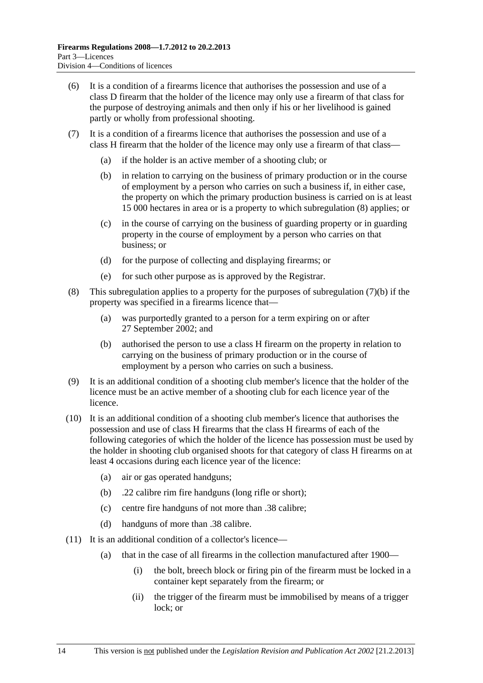- <span id="page-13-0"></span> (6) It is a condition of a firearms licence that authorises the possession and use of a class D firearm that the holder of the licence may only use a firearm of that class for the purpose of destroying animals and then only if his or her livelihood is gained partly or wholly from professional shooting.
- (7) It is a condition of a firearms licence that authorises the possession and use of a class H firearm that the holder of the licence may only use a firearm of that class—
	- (a) if the holder is an active member of a shooting club; or
	- (b) in relation to carrying on the business of primary production or in the course of employment by a person who carries on such a business if, in either case, the property on which the primary production business is carried on is at least 15 000 hectares in area or is a property to which [subregulation \(8\)](#page-13-0) applies; or
	- (c) in the course of carrying on the business of guarding property or in guarding property in the course of employment by a person who carries on that business; or
	- (d) for the purpose of collecting and displaying firearms; or
	- (e) for such other purpose as is approved by the Registrar.
- (8) This subregulation applies to a property for the purposes of [subregulation \(7\)\(b\)](#page-13-0) if the property was specified in a firearms licence that—
	- (a) was purportedly granted to a person for a term expiring on or after 27 September 2002; and
	- (b) authorised the person to use a class H firearm on the property in relation to carrying on the business of primary production or in the course of employment by a person who carries on such a business.
- (9) It is an additional condition of a shooting club member's licence that the holder of the licence must be an active member of a shooting club for each licence year of the licence.
- (10) It is an additional condition of a shooting club member's licence that authorises the possession and use of class H firearms that the class H firearms of each of the following categories of which the holder of the licence has possession must be used by the holder in shooting club organised shoots for that category of class H firearms on at least 4 occasions during each licence year of the licence:
	- (a) air or gas operated handguns;
	- (b) .22 calibre rim fire handguns (long rifle or short);
	- (c) centre fire handguns of not more than .38 calibre;
	- (d) handguns of more than .38 calibre.
- (11) It is an additional condition of a collector's licence—
	- (a) that in the case of all firearms in the collection manufactured after 1900—
		- (i) the bolt, breech block or firing pin of the firearm must be locked in a container kept separately from the firearm; or
		- (ii) the trigger of the firearm must be immobilised by means of a trigger lock; or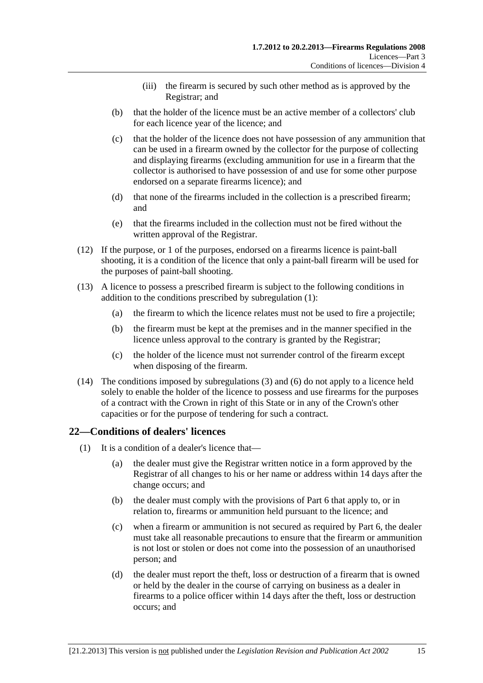- (iii) the firearm is secured by such other method as is approved by the Registrar; and
- <span id="page-14-0"></span> (b) that the holder of the licence must be an active member of a collectors' club for each licence year of the licence; and
- (c) that the holder of the licence does not have possession of any ammunition that can be used in a firearm owned by the collector for the purpose of collecting and displaying firearms (excluding ammunition for use in a firearm that the collector is authorised to have possession of and use for some other purpose endorsed on a separate firearms licence); and
- (d) that none of the firearms included in the collection is a prescribed firearm; and
- (e) that the firearms included in the collection must not be fired without the written approval of the Registrar.
- (12) If the purpose, or 1 of the purposes, endorsed on a firearms licence is paint-ball shooting, it is a condition of the licence that only a paint-ball firearm will be used for the purposes of paint-ball shooting.
- (13) A licence to possess a prescribed firearm is subject to the following conditions in addition to the conditions prescribed by [subregulation \(1\):](#page-11-0)
	- (a) the firearm to which the licence relates must not be used to fire a projectile;
	- (b) the firearm must be kept at the premises and in the manner specified in the licence unless approval to the contrary is granted by the Registrar;
	- (c) the holder of the licence must not surrender control of the firearm except when disposing of the firearm.
- (14) The conditions imposed by [subregulations \(3\)](#page-12-0) and [\(6\)](#page-13-0) do not apply to a licence held solely to enable the holder of the licence to possess and use firearms for the purposes of a contract with the Crown in right of this State or in any of the Crown's other capacities or for the purpose of tendering for such a contract.

## **22—Conditions of dealers' licences**

- (1) It is a condition of a dealer's licence that—
	- (a) the dealer must give the Registrar written notice in a form approved by the Registrar of all changes to his or her name or address within 14 days after the change occurs; and
	- (b) the dealer must comply with the provisions of [Part 6](#page-21-0) that apply to, or in relation to, firearms or ammunition held pursuant to the licence; and
	- (c) when a firearm or ammunition is not secured as required by [Part 6](#page-21-0), the dealer must take all reasonable precautions to ensure that the firearm or ammunition is not lost or stolen or does not come into the possession of an unauthorised person; and
	- (d) the dealer must report the theft, loss or destruction of a firearm that is owned or held by the dealer in the course of carrying on business as a dealer in firearms to a police officer within 14 days after the theft, loss or destruction occurs; and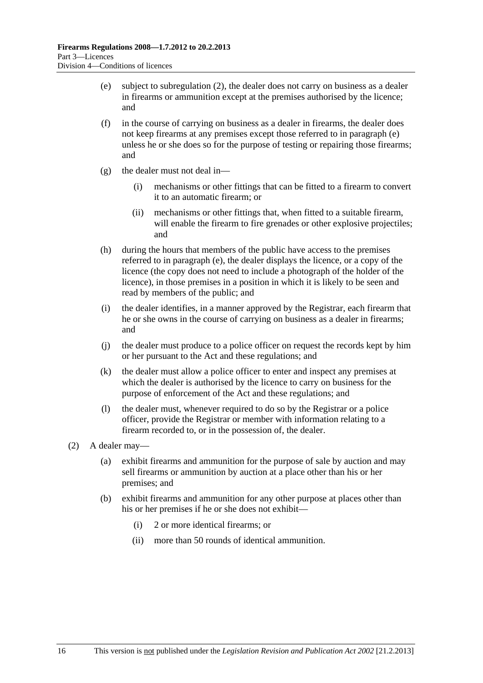- <span id="page-15-0"></span> (e) subject to [subregulation \(2\)](#page-15-0), the dealer does not carry on business as a dealer in firearms or ammunition except at the premises authorised by the licence; and
- (f) in the course of carrying on business as a dealer in firearms, the dealer does not keep firearms at any premises except those referred to in [paragraph \(e\)](#page-15-0)  unless he or she does so for the purpose of testing or repairing those firearms; and
- (g) the dealer must not deal in—
	- (i) mechanisms or other fittings that can be fitted to a firearm to convert it to an automatic firearm; or
	- (ii) mechanisms or other fittings that, when fitted to a suitable firearm, will enable the firearm to fire grenades or other explosive projectiles; and
- (h) during the hours that members of the public have access to the premises referred to in [paragraph \(e\),](#page-15-0) the dealer displays the licence, or a copy of the licence (the copy does not need to include a photograph of the holder of the licence), in those premises in a position in which it is likely to be seen and read by members of the public; and
- (i) the dealer identifies, in a manner approved by the Registrar, each firearm that he or she owns in the course of carrying on business as a dealer in firearms; and
- (j) the dealer must produce to a police officer on request the records kept by him or her pursuant to the Act and these regulations; and
- (k) the dealer must allow a police officer to enter and inspect any premises at which the dealer is authorised by the licence to carry on business for the purpose of enforcement of the Act and these regulations; and
- (l) the dealer must, whenever required to do so by the Registrar or a police officer, provide the Registrar or member with information relating to a firearm recorded to, or in the possession of, the dealer.
- (2) A dealer may—
	- (a) exhibit firearms and ammunition for the purpose of sale by auction and may sell firearms or ammunition by auction at a place other than his or her premises; and
	- (b) exhibit firearms and ammunition for any other purpose at places other than his or her premises if he or she does not exhibit—
		- (i) 2 or more identical firearms; or
		- (ii) more than 50 rounds of identical ammunition.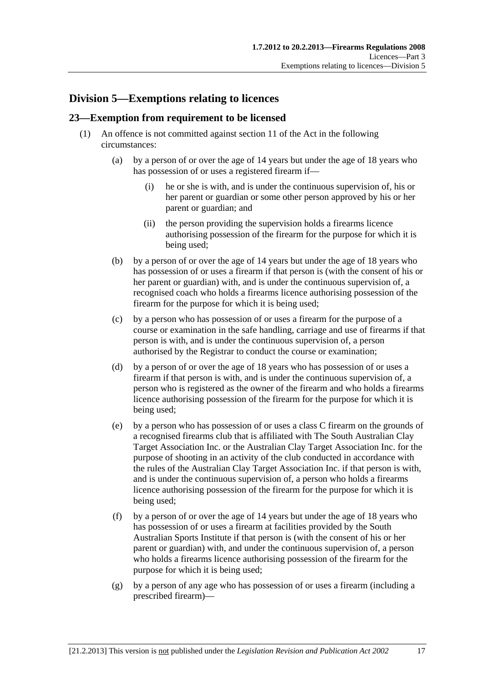# <span id="page-16-0"></span>**Division 5—Exemptions relating to licences**

# **23—Exemption from requirement to be licensed**

- (1) An offence is not committed against section 11 of the Act in the following circumstances:
	- (a) by a person of or over the age of 14 years but under the age of 18 years who has possession of or uses a registered firearm if—
		- (i) he or she is with, and is under the continuous supervision of, his or her parent or guardian or some other person approved by his or her parent or guardian; and
		- (ii) the person providing the supervision holds a firearms licence authorising possession of the firearm for the purpose for which it is being used;
	- (b) by a person of or over the age of 14 years but under the age of 18 years who has possession of or uses a firearm if that person is (with the consent of his or her parent or guardian) with, and is under the continuous supervision of, a recognised coach who holds a firearms licence authorising possession of the firearm for the purpose for which it is being used;
	- (c) by a person who has possession of or uses a firearm for the purpose of a course or examination in the safe handling, carriage and use of firearms if that person is with, and is under the continuous supervision of, a person authorised by the Registrar to conduct the course or examination;
	- (d) by a person of or over the age of 18 years who has possession of or uses a firearm if that person is with, and is under the continuous supervision of, a person who is registered as the owner of the firearm and who holds a firearms licence authorising possession of the firearm for the purpose for which it is being used;
	- (e) by a person who has possession of or uses a class C firearm on the grounds of a recognised firearms club that is affiliated with The South Australian Clay Target Association Inc. or the Australian Clay Target Association Inc. for the purpose of shooting in an activity of the club conducted in accordance with the rules of the Australian Clay Target Association Inc. if that person is with, and is under the continuous supervision of, a person who holds a firearms licence authorising possession of the firearm for the purpose for which it is being used;
	- (f) by a person of or over the age of 14 years but under the age of 18 years who has possession of or uses a firearm at facilities provided by the South Australian Sports Institute if that person is (with the consent of his or her parent or guardian) with, and under the continuous supervision of, a person who holds a firearms licence authorising possession of the firearm for the purpose for which it is being used;
	- (g) by a person of any age who has possession of or uses a firearm (including a prescribed firearm)—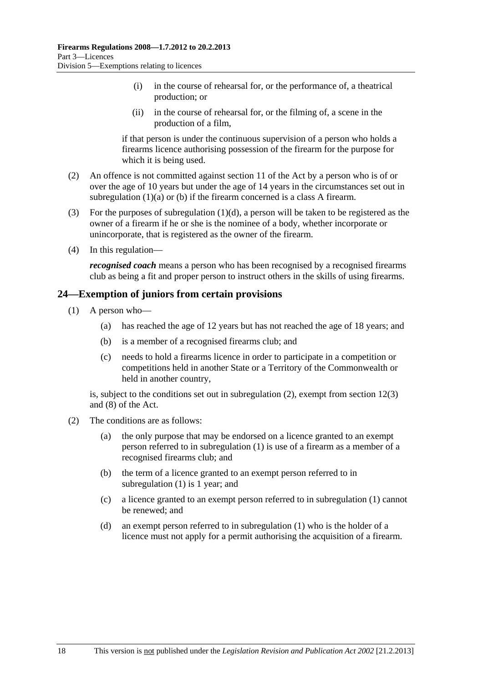- <span id="page-17-0"></span> (i) in the course of rehearsal for, or the performance of, a theatrical production; or
- (ii) in the course of rehearsal for, or the filming of, a scene in the production of a film,

if that person is under the continuous supervision of a person who holds a firearms licence authorising possession of the firearm for the purpose for which it is being used.

- (2) An offence is not committed against section 11 of the Act by a person who is of or over the age of 10 years but under the age of 14 years in the circumstances set out in [subregulation \(1\)\(a\)](#page-16-0) or [\(b\)](#page-16-0) if the firearm concerned is a class A firearm.
- (3) For the purposes of subregulation  $(1)(d)$ , a person will be taken to be registered as the owner of a firearm if he or she is the nominee of a body, whether incorporate or unincorporate, that is registered as the owner of the firearm.
- (4) In this regulation—

*recognised coach* means a person who has been recognised by a recognised firearms club as being a fit and proper person to instruct others in the skills of using firearms.

## **24—Exemption of juniors from certain provisions**

- (1) A person who—
	- (a) has reached the age of 12 years but has not reached the age of 18 years; and
	- (b) is a member of a recognised firearms club; and
	- (c) needs to hold a firearms licence in order to participate in a competition or competitions held in another State or a Territory of the Commonwealth or held in another country,

is, subject to the conditions set out in [subregulation \(2\)](#page-17-0), exempt from section 12(3) and (8) of the Act.

- (2) The conditions are as follows:
	- (a) the only purpose that may be endorsed on a licence granted to an exempt person referred to in [subregulation \(1\)](#page-17-0) is use of a firearm as a member of a recognised firearms club; and
	- (b) the term of a licence granted to an exempt person referred to in [subregulation \(1\)](#page-17-0) is 1 year; and
	- (c) a licence granted to an exempt person referred to in [subregulation \(1\)](#page-17-0) cannot be renewed; and
	- (d) an exempt person referred to in [subregulation \(1\)](#page-17-0) who is the holder of a licence must not apply for a permit authorising the acquisition of a firearm.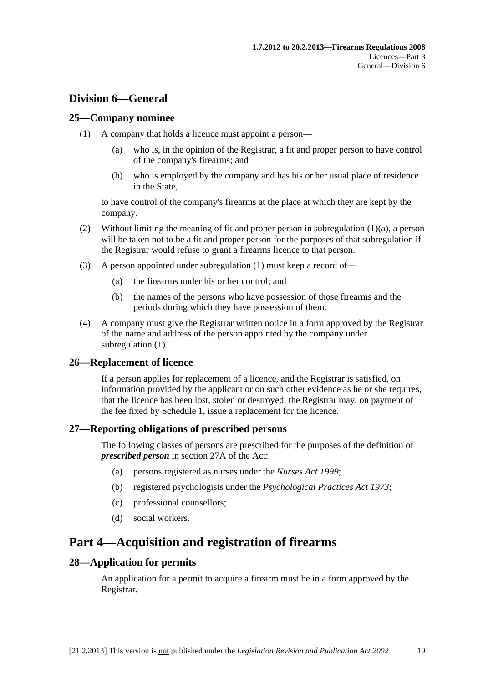# <span id="page-18-0"></span>**Division 6—General**

# **25—Company nominee**

- (1) A company that holds a licence must appoint a person—
	- (a) who is, in the opinion of the Registrar, a fit and proper person to have control of the company's firearms; and
	- (b) who is employed by the company and has his or her usual place of residence in the State,

to have control of the company's firearms at the place at which they are kept by the company.

- (2) Without limiting the meaning of fit and proper person in [subregulation \(1\)\(a\),](#page-18-0) a person will be taken not to be a fit and proper person for the purposes of that subregulation if the Registrar would refuse to grant a firearms licence to that person.
- (3) A person appointed under [subregulation \(1\)](#page-18-0) must keep a record of—
	- (a) the firearms under his or her control; and
	- (b) the names of the persons who have possession of those firearms and the periods during which they have possession of them.
- (4) A company must give the Registrar written notice in a form approved by the Registrar of the name and address of the person appointed by the company under [subregulation \(1\).](#page-18-0)

# **26—Replacement of licence**

If a person applies for replacement of a licence, and the Registrar is satisfied, on information provided by the applicant or on such other evidence as he or she requires, that the licence has been lost, stolen or destroyed, the Registrar may, on payment of the fee fixed by [Schedule 1](#page-28-0), issue a replacement for the licence.

## **27—Reporting obligations of prescribed persons**

The following classes of persons are prescribed for the purposes of the definition of *prescribed person* in section 27A of the Act:

- (a) persons registered as nurses under the *[Nurses Act 1999](http://www.legislation.sa.gov.au/index.aspx?action=legref&type=act&legtitle=Nurses%20Act%201999)*;
- (b) registered psychologists under the *[Psychological Practices Act 1973](http://www.legislation.sa.gov.au/index.aspx?action=legref&type=act&legtitle=Psychological%20Practices%20Act%201973)*;
- (c) professional counsellors;
- (d) social workers.

# **Part 4—Acquisition and registration of firearms**

## **28—Application for permits**

An application for a permit to acquire a firearm must be in a form approved by the Registrar.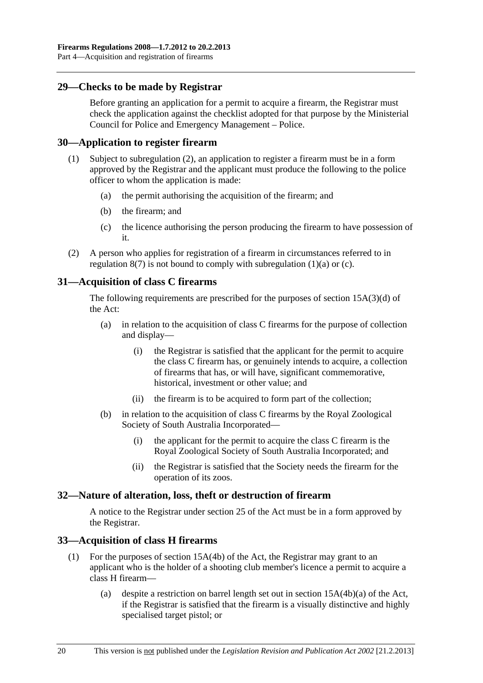## <span id="page-19-0"></span>**29—Checks to be made by Registrar**

Before granting an application for a permit to acquire a firearm, the Registrar must check the application against the checklist adopted for that purpose by the Ministerial Council for Police and Emergency Management – Police.

#### **30—Application to register firearm**

- (1) Subject to [subregulation \(2\),](#page-19-0) an application to register a firearm must be in a form approved by the Registrar and the applicant must produce the following to the police officer to whom the application is made:
	- (a) the permit authorising the acquisition of the firearm; and
	- (b) the firearm; and
	- (c) the licence authorising the person producing the firearm to have possession of it.
- (2) A person who applies for registration of a firearm in circumstances referred to in regulation  $8(7)$  is not bound to comply with subregulation  $(1)(a)$  or  $(c)$ .

# **31—Acquisition of class C firearms**

The following requirements are prescribed for the purposes of section 15A(3)(d) of the Act:

- (a) in relation to the acquisition of class C firearms for the purpose of collection and display—
	- (i) the Registrar is satisfied that the applicant for the permit to acquire the class C firearm has, or genuinely intends to acquire, a collection of firearms that has, or will have, significant commemorative, historical, investment or other value; and
	- (ii) the firearm is to be acquired to form part of the collection;
- (b) in relation to the acquisition of class C firearms by the Royal Zoological Society of South Australia Incorporated—
	- (i) the applicant for the permit to acquire the class C firearm is the Royal Zoological Society of South Australia Incorporated; and
	- (ii) the Registrar is satisfied that the Society needs the firearm for the operation of its zoos.

## **32—Nature of alteration, loss, theft or destruction of firearm**

A notice to the Registrar under section 25 of the Act must be in a form approved by the Registrar.

## **33—Acquisition of class H firearms**

- (1) For the purposes of section 15A(4b) of the Act, the Registrar may grant to an applicant who is the holder of a shooting club member's licence a permit to acquire a class H firearm—
	- (a) despite a restriction on barrel length set out in section 15A(4b)(a) of the Act, if the Registrar is satisfied that the firearm is a visually distinctive and highly specialised target pistol; or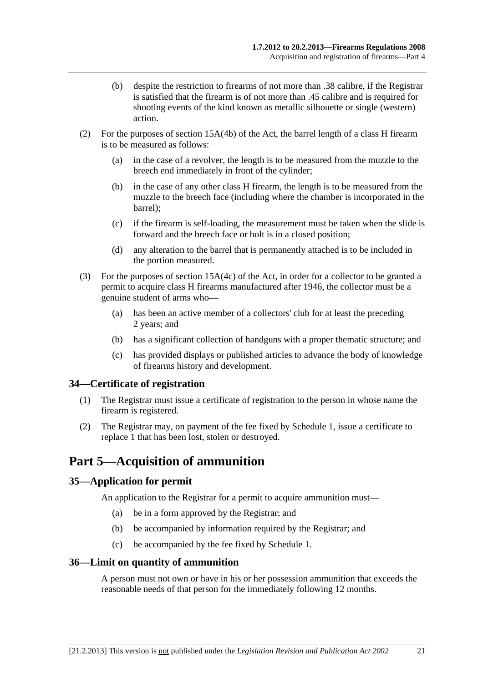- <span id="page-20-0"></span> (b) despite the restriction to firearms of not more than .38 calibre, if the Registrar is satisfied that the firearm is of not more than .45 calibre and is required for shooting events of the kind known as metallic silhouette or single (western) action.
- (2) For the purposes of section 15A(4b) of the Act, the barrel length of a class H firearm is to be measured as follows:
	- (a) in the case of a revolver, the length is to be measured from the muzzle to the breech end immediately in front of the cylinder;
	- (b) in the case of any other class H firearm, the length is to be measured from the muzzle to the breech face (including where the chamber is incorporated in the barrel);
	- (c) if the firearm is self-loading, the measurement must be taken when the slide is forward and the breech face or bolt is in a closed position;
	- (d) any alteration to the barrel that is permanently attached is to be included in the portion measured.
- (3) For the purposes of section 15A(4c) of the Act, in order for a collector to be granted a permit to acquire class H firearms manufactured after 1946, the collector must be a genuine student of arms who—
	- (a) has been an active member of a collectors' club for at least the preceding 2 years; and
	- (b) has a significant collection of handguns with a proper thematic structure; and
	- (c) has provided displays or published articles to advance the body of knowledge of firearms history and development.

## **34—Certificate of registration**

- (1) The Registrar must issue a certificate of registration to the person in whose name the firearm is registered.
- (2) The Registrar may, on payment of the fee fixed by [Schedule 1,](#page-28-0) issue a certificate to replace 1 that has been lost, stolen or destroyed.

# **Part 5—Acquisition of ammunition**

## **35—Application for permit**

An application to the Registrar for a permit to acquire ammunition must—

- (a) be in a form approved by the Registrar; and
- (b) be accompanied by information required by the Registrar; and
- (c) be accompanied by the fee fixed by [Schedule 1.](#page-28-0)

#### **36—Limit on quantity of ammunition**

A person must not own or have in his or her possession ammunition that exceeds the reasonable needs of that person for the immediately following 12 months.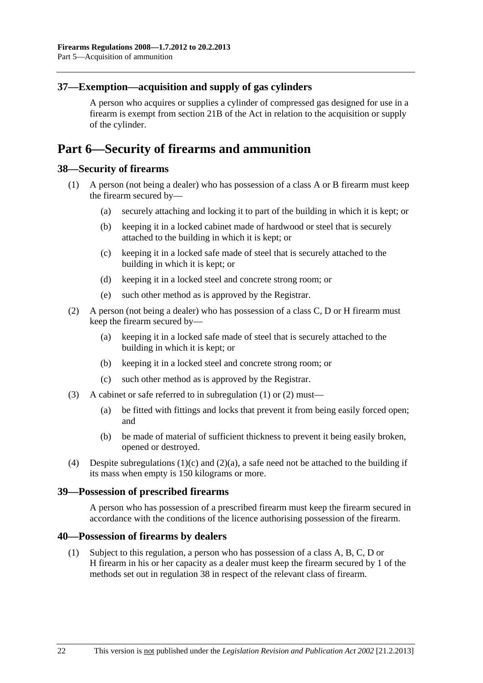# <span id="page-21-0"></span>**37—Exemption—acquisition and supply of gas cylinders**

A person who acquires or supplies a cylinder of compressed gas designed for use in a firearm is exempt from section 21B of the Act in relation to the acquisition or supply of the cylinder.

# **Part 6—Security of firearms and ammunition**

#### **38—Security of firearms**

- (1) A person (not being a dealer) who has possession of a class A or B firearm must keep the firearm secured by—
	- (a) securely attaching and locking it to part of the building in which it is kept; or
	- (b) keeping it in a locked cabinet made of hardwood or steel that is securely attached to the building in which it is kept; or
	- (c) keeping it in a locked safe made of steel that is securely attached to the building in which it is kept; or
	- (d) keeping it in a locked steel and concrete strong room; or
	- (e) such other method as is approved by the Registrar.
- (2) A person (not being a dealer) who has possession of a class C, D or H firearm must keep the firearm secured by—
	- (a) keeping it in a locked safe made of steel that is securely attached to the building in which it is kept; or
	- (b) keeping it in a locked steel and concrete strong room; or
	- (c) such other method as is approved by the Registrar.
- (3) A cabinet or safe referred to in [subregulation \(1\)](#page-21-0) or [\(2\)](#page-21-0) must—
	- (a) be fitted with fittings and locks that prevent it from being easily forced open; and
	- (b) be made of material of sufficient thickness to prevent it being easily broken, opened or destroyed.
- (4) Despite subregulations  $(1)(c)$  and  $(2)(a)$ , a safe need not be attached to the building if its mass when empty is 150 kilograms or more.

#### **39—Possession of prescribed firearms**

A person who has possession of a prescribed firearm must keep the firearm secured in accordance with the conditions of the licence authorising possession of the firearm.

#### **40—Possession of firearms by dealers**

 (1) Subject to this regulation, a person who has possession of a class A, B, C, D or H firearm in his or her capacity as a dealer must keep the firearm secured by 1 of the methods set out in [regulation 38](#page-21-0) in respect of the relevant class of firearm.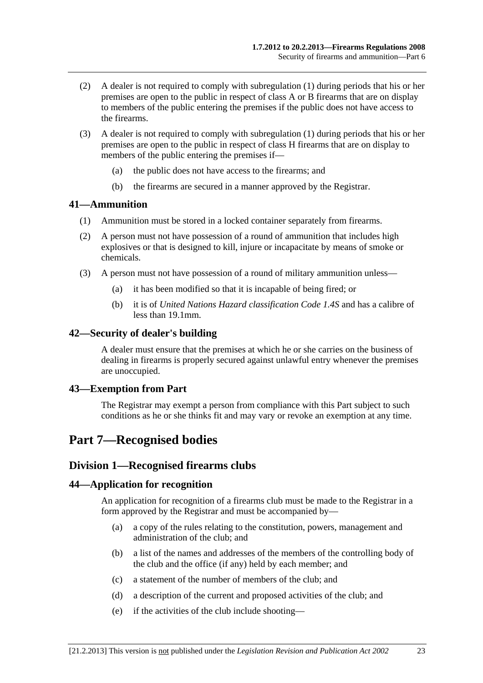- <span id="page-22-0"></span> (2) A dealer is not required to comply with [subregulation \(1\)](#page-21-0) during periods that his or her premises are open to the public in respect of class A or B firearms that are on display to members of the public entering the premises if the public does not have access to the firearms.
- (3) A dealer is not required to comply with [subregulation \(1\)](#page-21-0) during periods that his or her premises are open to the public in respect of class H firearms that are on display to members of the public entering the premises if—
	- (a) the public does not have access to the firearms; and
	- (b) the firearms are secured in a manner approved by the Registrar.

#### **41—Ammunition**

- (1) Ammunition must be stored in a locked container separately from firearms.
- (2) A person must not have possession of a round of ammunition that includes high explosives or that is designed to kill, injure or incapacitate by means of smoke or chemicals.
- (3) A person must not have possession of a round of military ammunition unless—
	- (a) it has been modified so that it is incapable of being fired; or
	- (b) it is of *United Nations Hazard classification Code 1.4S* and has a calibre of less than 19.1mm.

#### **42—Security of dealer's building**

A dealer must ensure that the premises at which he or she carries on the business of dealing in firearms is properly secured against unlawful entry whenever the premises are unoccupied.

#### **43—Exemption from Part**

The Registrar may exempt a person from compliance with this Part subject to such conditions as he or she thinks fit and may vary or revoke an exemption at any time.

# **Part 7—Recognised bodies**

## **Division 1—Recognised firearms clubs**

#### **44—Application for recognition**

An application for recognition of a firearms club must be made to the Registrar in a form approved by the Registrar and must be accompanied by—

- (a) a copy of the rules relating to the constitution, powers, management and administration of the club; and
- (b) a list of the names and addresses of the members of the controlling body of the club and the office (if any) held by each member; and
- (c) a statement of the number of members of the club; and
- (d) a description of the current and proposed activities of the club; and
- (e) if the activities of the club include shooting—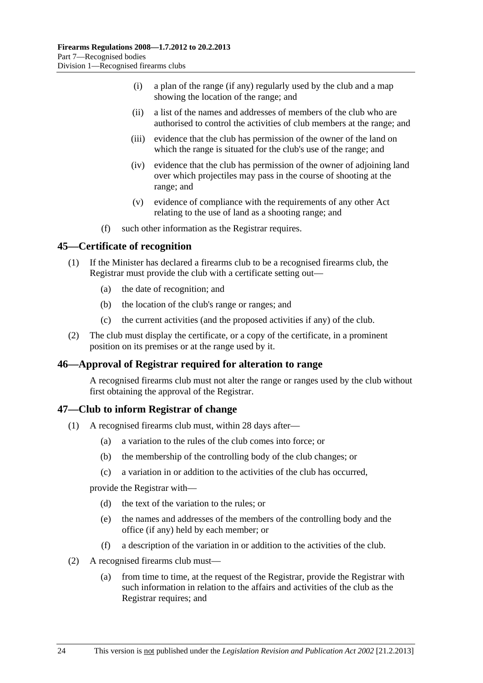- <span id="page-23-0"></span> (i) a plan of the range (if any) regularly used by the club and a map showing the location of the range; and
- (ii) a list of the names and addresses of members of the club who are authorised to control the activities of club members at the range; and
- (iii) evidence that the club has permission of the owner of the land on which the range is situated for the club's use of the range; and
- (iv) evidence that the club has permission of the owner of adjoining land over which projectiles may pass in the course of shooting at the range; and
- (v) evidence of compliance with the requirements of any other Act relating to the use of land as a shooting range; and
- (f) such other information as the Registrar requires.

#### **45—Certificate of recognition**

- (1) If the Minister has declared a firearms club to be a recognised firearms club, the Registrar must provide the club with a certificate setting out—
	- (a) the date of recognition; and
	- (b) the location of the club's range or ranges; and
	- (c) the current activities (and the proposed activities if any) of the club.
- (2) The club must display the certificate, or a copy of the certificate, in a prominent position on its premises or at the range used by it.

## **46—Approval of Registrar required for alteration to range**

A recognised firearms club must not alter the range or ranges used by the club without first obtaining the approval of the Registrar.

#### **47—Club to inform Registrar of change**

- (1) A recognised firearms club must, within 28 days after—
	- (a) a variation to the rules of the club comes into force; or
	- (b) the membership of the controlling body of the club changes; or
	- (c) a variation in or addition to the activities of the club has occurred,

provide the Registrar with—

- (d) the text of the variation to the rules; or
- (e) the names and addresses of the members of the controlling body and the office (if any) held by each member; or
- (f) a description of the variation in or addition to the activities of the club.
- (2) A recognised firearms club must—
	- (a) from time to time, at the request of the Registrar, provide the Registrar with such information in relation to the affairs and activities of the club as the Registrar requires; and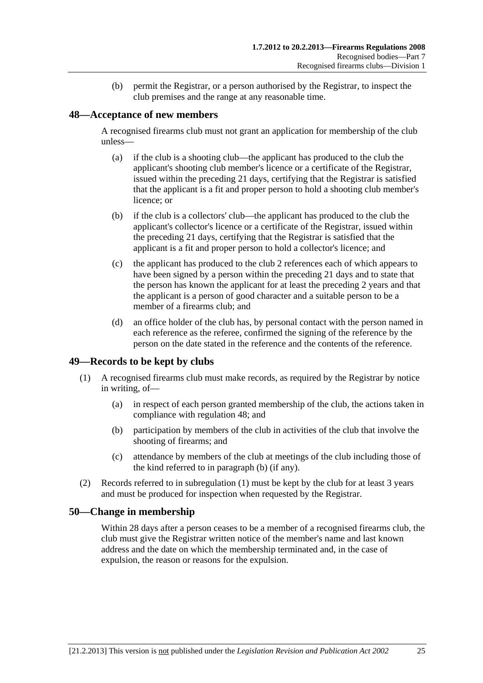(b) permit the Registrar, or a person authorised by the Registrar, to inspect the club premises and the range at any reasonable time.

#### <span id="page-24-0"></span>**48—Acceptance of new members**

A recognised firearms club must not grant an application for membership of the club unless—

- (a) if the club is a shooting club—the applicant has produced to the club the applicant's shooting club member's licence or a certificate of the Registrar, issued within the preceding 21 days, certifying that the Registrar is satisfied that the applicant is a fit and proper person to hold a shooting club member's licence; or
- (b) if the club is a collectors' club—the applicant has produced to the club the applicant's collector's licence or a certificate of the Registrar, issued within the preceding 21 days, certifying that the Registrar is satisfied that the applicant is a fit and proper person to hold a collector's licence; and
- (c) the applicant has produced to the club 2 references each of which appears to have been signed by a person within the preceding 21 days and to state that the person has known the applicant for at least the preceding 2 years and that the applicant is a person of good character and a suitable person to be a member of a firearms club; and
- (d) an office holder of the club has, by personal contact with the person named in each reference as the referee, confirmed the signing of the reference by the person on the date stated in the reference and the contents of the reference.

## **49—Records to be kept by clubs**

- (1) A recognised firearms club must make records, as required by the Registrar by notice in writing, of—
	- (a) in respect of each person granted membership of the club, the actions taken in compliance with [regulation 48;](#page-24-0) and
	- (b) participation by members of the club in activities of the club that involve the shooting of firearms; and
	- (c) attendance by members of the club at meetings of the club including those of the kind referred to in [paragraph \(b\)](#page-24-0) (if any).
- (2) Records referred to in [subregulation \(1\)](#page-24-0) must be kept by the club for at least 3 years and must be produced for inspection when requested by the Registrar.

#### **50—Change in membership**

Within 28 days after a person ceases to be a member of a recognised firearms club, the club must give the Registrar written notice of the member's name and last known address and the date on which the membership terminated and, in the case of expulsion, the reason or reasons for the expulsion.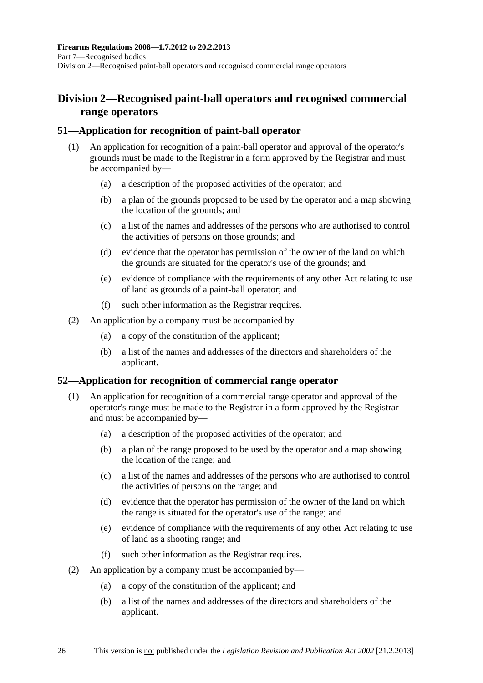# <span id="page-25-0"></span>**Division 2—Recognised paint-ball operators and recognised commercial range operators**

# **51—Application for recognition of paint-ball operator**

- (1) An application for recognition of a paint-ball operator and approval of the operator's grounds must be made to the Registrar in a form approved by the Registrar and must be accompanied by—
	- (a) a description of the proposed activities of the operator; and
	- (b) a plan of the grounds proposed to be used by the operator and a map showing the location of the grounds; and
	- (c) a list of the names and addresses of the persons who are authorised to control the activities of persons on those grounds; and
	- (d) evidence that the operator has permission of the owner of the land on which the grounds are situated for the operator's use of the grounds; and
	- (e) evidence of compliance with the requirements of any other Act relating to use of land as grounds of a paint-ball operator; and
	- (f) such other information as the Registrar requires.
- (2) An application by a company must be accompanied by—
	- (a) a copy of the constitution of the applicant;
	- (b) a list of the names and addresses of the directors and shareholders of the applicant.

## **52—Application for recognition of commercial range operator**

- (1) An application for recognition of a commercial range operator and approval of the operator's range must be made to the Registrar in a form approved by the Registrar and must be accompanied by—
	- (a) a description of the proposed activities of the operator; and
	- (b) a plan of the range proposed to be used by the operator and a map showing the location of the range; and
	- (c) a list of the names and addresses of the persons who are authorised to control the activities of persons on the range; and
	- (d) evidence that the operator has permission of the owner of the land on which the range is situated for the operator's use of the range; and
	- (e) evidence of compliance with the requirements of any other Act relating to use of land as a shooting range; and
	- (f) such other information as the Registrar requires.
- (2) An application by a company must be accompanied by—
	- (a) a copy of the constitution of the applicant; and
	- (b) a list of the names and addresses of the directors and shareholders of the applicant.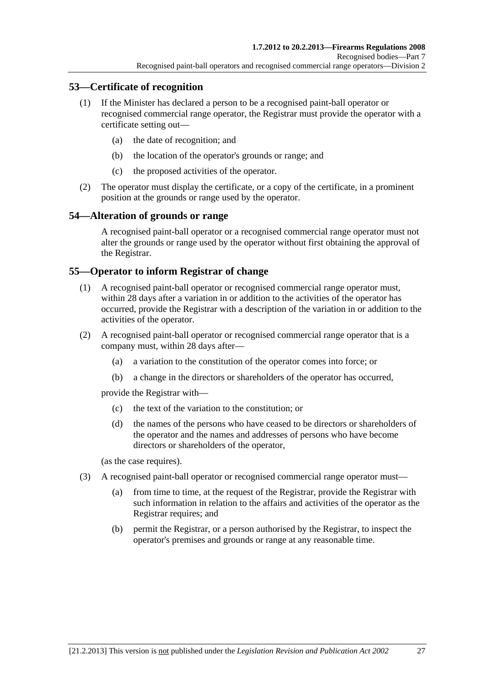# <span id="page-26-0"></span>**53—Certificate of recognition**

- (1) If the Minister has declared a person to be a recognised paint-ball operator or recognised commercial range operator, the Registrar must provide the operator with a certificate setting out—
	- (a) the date of recognition; and
	- (b) the location of the operator's grounds or range; and
	- (c) the proposed activities of the operator.
- (2) The operator must display the certificate, or a copy of the certificate, in a prominent position at the grounds or range used by the operator.

## **54—Alteration of grounds or range**

A recognised paint-ball operator or a recognised commercial range operator must not alter the grounds or range used by the operator without first obtaining the approval of the Registrar.

#### **55—Operator to inform Registrar of change**

- (1) A recognised paint-ball operator or recognised commercial range operator must, within 28 days after a variation in or addition to the activities of the operator has occurred, provide the Registrar with a description of the variation in or addition to the activities of the operator.
- (2) A recognised paint-ball operator or recognised commercial range operator that is a company must, within 28 days after—
	- (a) a variation to the constitution of the operator comes into force; or
	- (b) a change in the directors or shareholders of the operator has occurred,

provide the Registrar with—

- (c) the text of the variation to the constitution; or
- (d) the names of the persons who have ceased to be directors or shareholders of the operator and the names and addresses of persons who have become directors or shareholders of the operator,

(as the case requires).

- (3) A recognised paint-ball operator or recognised commercial range operator must—
	- (a) from time to time, at the request of the Registrar, provide the Registrar with such information in relation to the affairs and activities of the operator as the Registrar requires; and
	- (b) permit the Registrar, or a person authorised by the Registrar, to inspect the operator's premises and grounds or range at any reasonable time.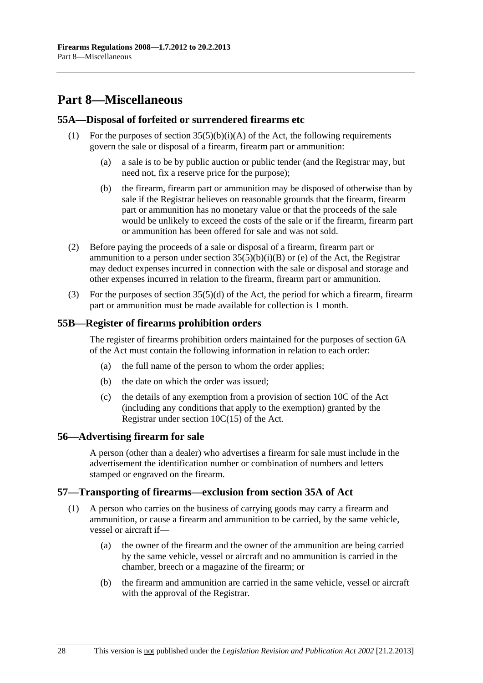# <span id="page-27-0"></span>**Part 8—Miscellaneous**

#### **55A—Disposal of forfeited or surrendered firearms etc**

- (1) For the purposes of section  $35(5)(b)(i)(A)$  of the Act, the following requirements govern the sale or disposal of a firearm, firearm part or ammunition:
	- (a) a sale is to be by public auction or public tender (and the Registrar may, but need not, fix a reserve price for the purpose);
	- (b) the firearm, firearm part or ammunition may be disposed of otherwise than by sale if the Registrar believes on reasonable grounds that the firearm, firearm part or ammunition has no monetary value or that the proceeds of the sale would be unlikely to exceed the costs of the sale or if the firearm, firearm part or ammunition has been offered for sale and was not sold.
- (2) Before paying the proceeds of a sale or disposal of a firearm, firearm part or ammunition to a person under section  $35(5)(b)(i)(B)$  or (e) of the Act, the Registrar may deduct expenses incurred in connection with the sale or disposal and storage and other expenses incurred in relation to the firearm, firearm part or ammunition.
- (3) For the purposes of section  $35(5)(d)$  of the Act, the period for which a firearm, firearm part or ammunition must be made available for collection is 1 month.

#### **55B—Register of firearms prohibition orders**

The register of firearms prohibition orders maintained for the purposes of section 6A of the Act must contain the following information in relation to each order:

- (a) the full name of the person to whom the order applies;
- (b) the date on which the order was issued;
- (c) the details of any exemption from a provision of section 10C of the Act (including any conditions that apply to the exemption) granted by the Registrar under section 10C(15) of the Act.

#### **56—Advertising firearm for sale**

A person (other than a dealer) who advertises a firearm for sale must include in the advertisement the identification number or combination of numbers and letters stamped or engraved on the firearm.

#### **57—Transporting of firearms—exclusion from section 35A of Act**

- (1) A person who carries on the business of carrying goods may carry a firearm and ammunition, or cause a firearm and ammunition to be carried, by the same vehicle, vessel or aircraft if—
	- (a) the owner of the firearm and the owner of the ammunition are being carried by the same vehicle, vessel or aircraft and no ammunition is carried in the chamber, breech or a magazine of the firearm; or
	- (b) the firearm and ammunition are carried in the same vehicle, vessel or aircraft with the approval of the Registrar.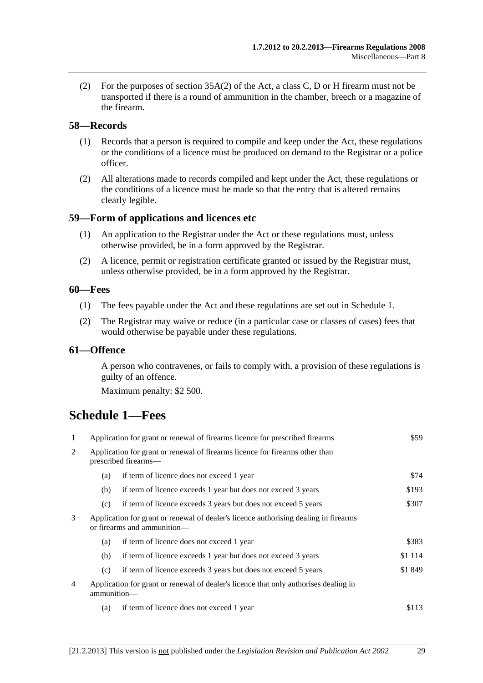<span id="page-28-0"></span> (2) For the purposes of section 35A(2) of the Act, a class C, D or H firearm must not be transported if there is a round of ammunition in the chamber, breech or a magazine of the firearm.

#### **58—Records**

- (1) Records that a person is required to compile and keep under the Act, these regulations or the conditions of a licence must be produced on demand to the Registrar or a police officer.
- (2) All alterations made to records compiled and kept under the Act, these regulations or the conditions of a licence must be made so that the entry that is altered remains clearly legible.

#### **59—Form of applications and licences etc**

- (1) An application to the Registrar under the Act or these regulations must, unless otherwise provided, be in a form approved by the Registrar.
- (2) A licence, permit or registration certificate granted or issued by the Registrar must, unless otherwise provided, be in a form approved by the Registrar.

#### **60—Fees**

- (1) The fees payable under the Act and these regulations are set out in [Schedule 1.](#page-28-0)
- (2) The Registrar may waive or reduce (in a particular case or classes of cases) fees that would otherwise be payable under these regulations.

#### **61—Offence**

A person who contravenes, or fails to comply with, a provision of these regulations is guilty of an offence.

Maximum penalty: \$2 500.

# **Schedule 1—Fees**

| 1              | Application for grant or renewal of firearms licence for prescribed firearms                                        |                                                                | \$59      |
|----------------|---------------------------------------------------------------------------------------------------------------------|----------------------------------------------------------------|-----------|
| 2              | Application for grant or renewal of firearms licence for firearms other than<br>prescribed firearms—                |                                                                |           |
|                | (a)                                                                                                                 | if term of licence does not exceed 1 year                      | \$74      |
|                | (b)                                                                                                                 | if term of licence exceeds 1 year but does not exceed 3 years  | \$193     |
|                | (c)                                                                                                                 | if term of licence exceeds 3 years but does not exceed 5 years | \$307     |
| 3              | Application for grant or renewal of dealer's licence authorising dealing in firearms<br>or firearms and ammunition- |                                                                |           |
|                | (a)                                                                                                                 | if term of licence does not exceed 1 year                      | \$383     |
|                | (b)                                                                                                                 | if term of licence exceeds 1 year but does not exceed 3 years  | \$1 1 1 4 |
|                | (c)                                                                                                                 | if term of licence exceeds 3 years but does not exceed 5 years | \$1 849   |
| $\overline{4}$ | Application for grant or renewal of dealer's licence that only authorises dealing in<br>ammunition-                 |                                                                |           |
|                | (a)                                                                                                                 | if term of licence does not exceed 1 year                      | \$113     |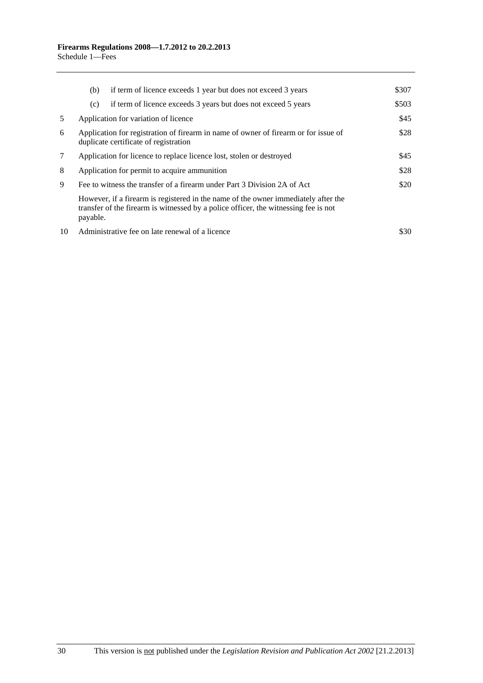|    | (b)                                                                                                                                  | if term of licence exceeds 1 year but does not exceed 3 years                                                                                                             | \$307 |
|----|--------------------------------------------------------------------------------------------------------------------------------------|---------------------------------------------------------------------------------------------------------------------------------------------------------------------------|-------|
|    | (c)                                                                                                                                  | if term of licence exceeds 3 years but does not exceed 5 years                                                                                                            | \$503 |
| 5  |                                                                                                                                      | Application for variation of licence                                                                                                                                      | \$45  |
| 6  | \$28<br>Application for registration of firearm in name of owner of firearm or for issue of<br>duplicate certificate of registration |                                                                                                                                                                           |       |
| 7  | Application for licence to replace licence lost, stolen or destroyed                                                                 |                                                                                                                                                                           | \$45  |
| 8  | Application for permit to acquire ammunition                                                                                         |                                                                                                                                                                           | \$28  |
| 9  | Fee to witness the transfer of a firearm under Part 3 Division 2A of Act                                                             |                                                                                                                                                                           | \$20  |
|    | payable.                                                                                                                             | However, if a firearm is registered in the name of the owner immediately after the<br>transfer of the firearm is witnessed by a police officer, the witnessing fee is not |       |
| 10 |                                                                                                                                      | Administrative fee on late renewal of a licence                                                                                                                           | \$30. |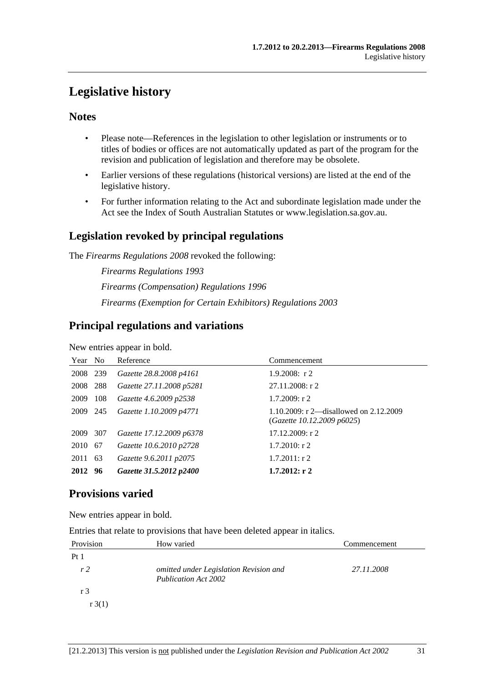# <span id="page-30-0"></span>**Legislative history**

# **Notes**

- Please note—References in the legislation to other legislation or instruments or to titles of bodies or offices are not automatically updated as part of the program for the revision and publication of legislation and therefore may be obsolete.
- Earlier versions of these regulations (historical versions) are listed at the end of the legislative history.
- For further information relating to the Act and subordinate legislation made under the Act see the Index of South Australian Statutes or www.legislation.sa.gov.au.

# **Legislation revoked by principal regulations**

The *Firearms Regulations 2008* revoked the following:

*Firearms Regulations 1993 Firearms (Compensation) Regulations 1996 Firearms (Exemption for Certain Exhibitors) Regulations 2003*

# **Principal regulations and variations**

New entries appear in bold.

| Year No  |     | Reference                | Commencement                                                           |
|----------|-----|--------------------------|------------------------------------------------------------------------|
| 2008 239 |     | Gazette 28.8.2008 p4161  | $1.9.2008$ : r 2                                                       |
| 2008 288 |     | Gazette 27.11.2008 p5281 | $27.11.2008:$ r 2                                                      |
| 2009     | 108 | Gazette 4.6.2009 p2538   | $1.7.2009$ : r 2                                                       |
| 2009 245 |     | Gazette 1.10.2009 p4771  | 1.10.2009: r 2—disallowed on $2.12.2009$<br>(Gazette 10.12.2009 p6025) |
| 2009     | 307 | Gazette 17.12.2009 p6378 | 17.12.2009: r2                                                         |
| 2010 67  |     | Gazette 10.6.2010 p2728  | $1.7.2010$ : r 2                                                       |
| 2011 63  |     | Gazette 9.6.2011 p2075   | $1.7.2011:$ r 2                                                        |
| 2012 96  |     | Gazette 31.5.2012 p2400  | $1.7.2012:$ r 2                                                        |

# **Provisions varied**

New entries appear in bold.

Entries that relate to provisions that have been deleted appear in italics.

| Provision       | How varied                                                            | Commencement |
|-----------------|-----------------------------------------------------------------------|--------------|
| Pt <sub>1</sub> |                                                                       |              |
| r <sub>2</sub>  | omitted under Legislation Revision and<br><b>Publication Act 2002</b> | 27.11.2008   |
| r 3             |                                                                       |              |
| $r \cdot 3(1)$  |                                                                       |              |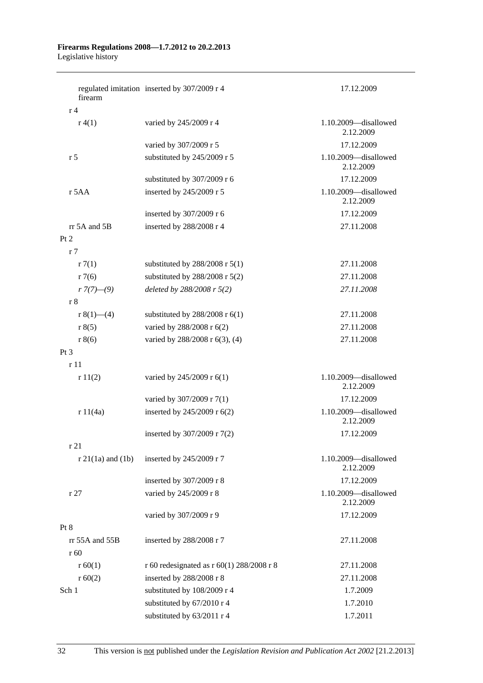#### **Firearms Regulations 2008—1.7.2012 to 20.2.2013**  Legislative history

| firearm                           | regulated imitation inserted by 307/2009 r 4 | 17.12.2009                        |
|-----------------------------------|----------------------------------------------|-----------------------------------|
| r <sub>4</sub>                    |                                              |                                   |
| r(4(1))                           | varied by 245/2009 r 4                       | 1.10.2009-disallowed<br>2.12.2009 |
|                                   | varied by 307/2009 r 5                       | 17.12.2009                        |
| r <sub>5</sub>                    | substituted by 245/2009 r 5                  | 1.10.2009-disallowed<br>2.12.2009 |
|                                   | substituted by 307/2009 r 6                  | 17.12.2009                        |
| r 5AA                             | inserted by 245/2009 r 5                     | 1.10.2009-disallowed<br>2.12.2009 |
|                                   | inserted by 307/2009 r 6                     | 17.12.2009                        |
| rr 5A and 5B                      | inserted by 288/2008 r 4                     | 27.11.2008                        |
| Pt 2                              |                                              |                                   |
| r <sub>7</sub>                    |                                              |                                   |
| r7(1)                             | substituted by $288/2008$ r $5(1)$           | 27.11.2008                        |
| r7(6)                             | substituted by $288/2008$ r $5(2)$           | 27.11.2008                        |
| $r \frac{7(7)-(9)}{2}$            | deleted by 288/2008 r 5(2)                   | 27.11.2008                        |
| r8                                |                                              |                                   |
| r $8(1)$ —(4)                     | substituted by $288/2008$ r $6(1)$           | 27.11.2008                        |
| r 8(5)                            | varied by 288/2008 r 6(2)                    | 27.11.2008                        |
| r 8(6)                            | varied by 288/2008 r 6(3), (4)               | 27.11.2008                        |
| Pt <sub>3</sub>                   |                                              |                                   |
| r11                               |                                              |                                   |
| r11(2)                            | varied by 245/2009 r 6(1)                    | 1.10.2009-disallowed<br>2.12.2009 |
|                                   | varied by 307/2009 r 7(1)                    | 17.12.2009                        |
| r 11(4a)                          | inserted by 245/2009 r 6(2)                  | 1.10.2009-disallowed<br>2.12.2009 |
|                                   | inserted by 307/2009 r 7(2)                  | 17.12.2009                        |
| r21                               |                                              |                                   |
| $r 21(1a)$ and $(1b)$             | inserted by 245/2009 r 7                     | 1.10.2009-disallowed<br>2.12.2009 |
|                                   | inserted by 307/2009 r 8                     | 17.12.2009                        |
| r27                               | varied by 245/2009 r 8                       | 1.10.2009-disallowed<br>2.12.2009 |
|                                   | varied by 307/2009 r 9                       | 17.12.2009                        |
| Pt 8                              |                                              |                                   |
| rr 55A and 55B<br>r <sub>60</sub> | inserted by 288/2008 r 7                     | 27.11.2008                        |
| r 60(1)                           | r 60 redesignated as r 60(1) 288/2008 r 8    | 27.11.2008                        |
| r 60(2)                           | inserted by 288/2008 r 8                     | 27.11.2008                        |
| Sch 1                             | substituted by 108/2009 r 4                  | 1.7.2009                          |
|                                   | substituted by 67/2010 r 4                   | 1.7.2010                          |
|                                   | substituted by 63/2011 r 4                   | 1.7.2011                          |